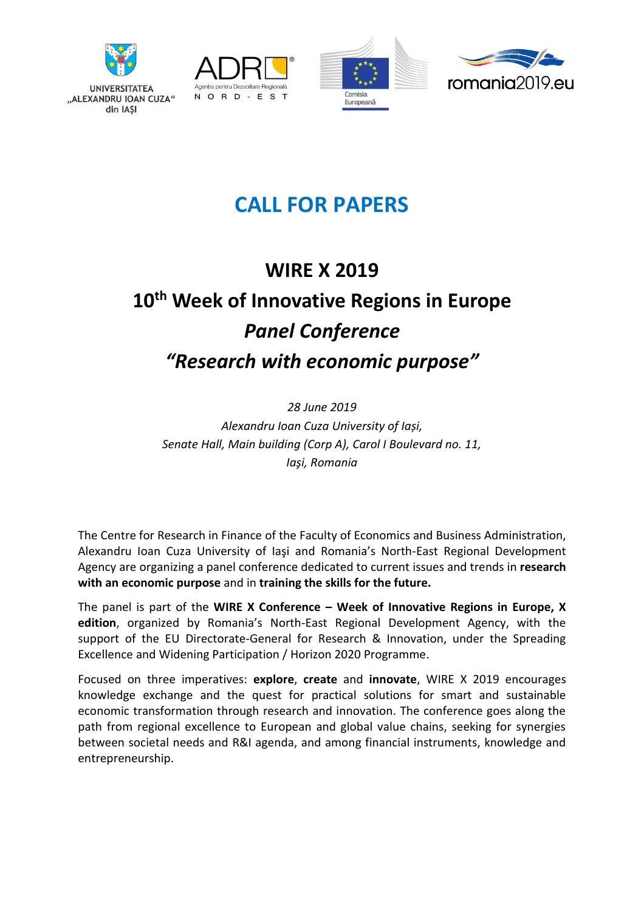

"ALEXANDRU IOAN CUZA"

din IASI







# **CALL FOR PAPERS**

# **WIRE X 2019 10th Week of Innovative Regions in Europe** *Panel Conference "Research with economic purpose"*

*28 June 2019 Alexandru Ioan Cuza University of Iași, Senate Hall, Main building (Corp A), Carol I Boulevard no. 11, Iaşi, Romania*

The Centre for Research in Finance of the Faculty of Economics and Business Administration, Alexandru Ioan Cuza University of Iaşi and Romania's North-East Regional Development Agency are organizing a panel conference dedicated to current issues and trends in **research with an economic purpose** and in **training the skills for the future.** 

The panel is part of the **WIRE X Conference – Week of Innovative Regions in Europe, X edition**, organized by Romania's North-East Regional Development Agency, with the support of the EU Directorate-General for Research & Innovation, under the Spreading Excellence and Widening Participation / Horizon 2020 Programme.

Focused on three imperatives: **explore**, **create** and **innovate**, WIRE X 2019 encourages knowledge exchange and the quest for practical solutions for smart and sustainable economic transformation through research and innovation. The conference goes along the path from regional excellence to European and global value chains, seeking for synergies between societal needs and R&I agenda, and among financial instruments, knowledge and entrepreneurship.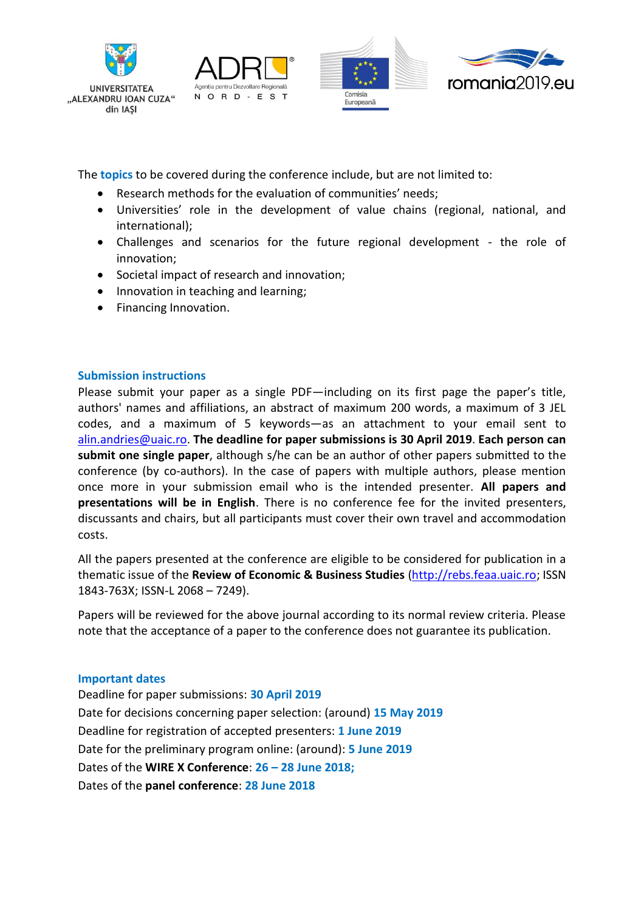

**UNIVERSITATEA** 

din IAŞI







The **topics** to be covered during the conference include, but are not limited to:

- Research methods for the evaluation of communities' needs;
- Universities' role in the development of value chains (regional, national, and international);
- Challenges and scenarios for the future regional development the role of innovation;
- Societal impact of research and innovation;
- Innovation in teaching and learning;
- Financing Innovation.

### **Submission instructions**

Please submit your paper as a single PDF—including on its first page the paper's title, authors' names and affiliations, an abstract of maximum 200 words, a maximum of 3 JEL codes, and a maximum of 5 keywords—as an attachment to your email sent to [alin.andries@uaic.ro.](mailto:alin.andries@uaic.ro) **The deadline for paper submissions is 30 April 2019**. **Each person can submit one single paper**, although s/he can be an author of other papers submitted to the conference (by co-authors). In the case of papers with multiple authors, please mention once more in your submission email who is the intended presenter. **All papers and presentations will be in English**. There is no conference fee for the invited presenters, discussants and chairs, but all participants must cover their own travel and accommodation costs.

All the papers presented at the conference are eligible to be considered for publication in a thematic issue of the **Review of Economic & Business Studies** [\(http://rebs.feaa.uaic.ro;](http://rebs.feaa.uaic.ro/) ISSN 1843-763X; ISSN-L 2068 – 7249).

Papers will be reviewed for the above journal according to its normal review criteria. Please note that the acceptance of a paper to the conference does not guarantee its publication.

#### **Important dates**

Deadline for paper submissions: **30 April 2019** Date for decisions concerning paper selection: (around) **15 May 2019** Deadline for registration of accepted presenters: **1 June 2019** Date for the preliminary program online: (around): **5 June 2019** Dates of the **WIRE X Conference**: **26 – 28 June 2018;**  Dates of the **panel conference**: **28 June 2018**